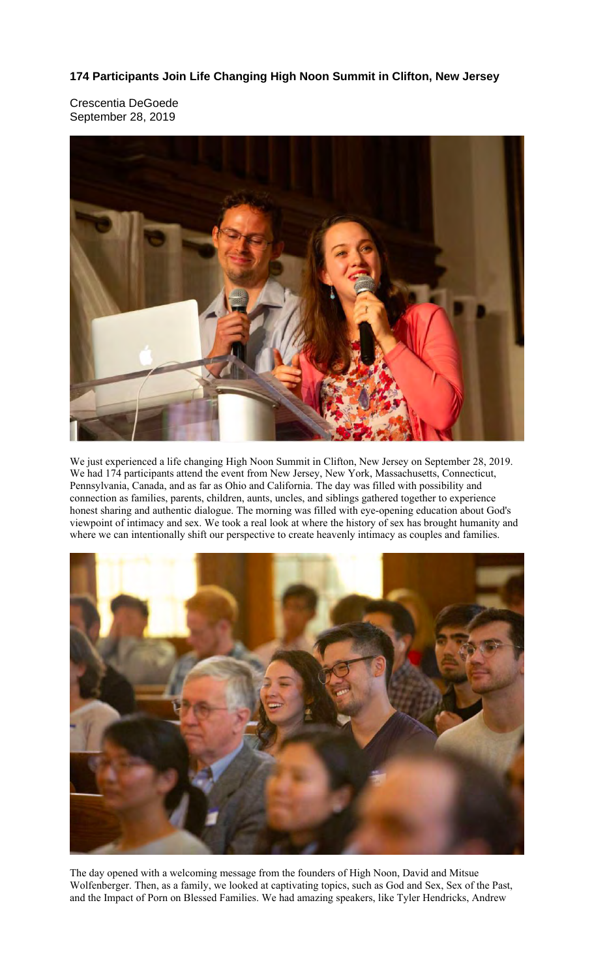**174 Participants Join Life Changing High Noon Summit in Clifton, New Jersey** 

Crescentia DeGoede September 28, 2019



We just experienced a life changing High Noon Summit in Clifton, New Jersey on September 28, 2019. We had 174 participants attend the event from New Jersey, New York, Massachusetts, Connecticut, Pennsylvania, Canada, and as far as Ohio and California. The day was filled with possibility and connection as families, parents, children, aunts, uncles, and siblings gathered together to experience honest sharing and authentic dialogue. The morning was filled with eye-opening education about God's viewpoint of intimacy and sex. We took a real look at where the history of sex has brought humanity and where we can intentionally shift our perspective to create heavenly intimacy as couples and families.



The day opened with a welcoming message from the founders of High Noon, David and Mitsue Wolfenberger. Then, as a family, we looked at captivating topics, such as God and Sex, Sex of the Past, and the Impact of Porn on Blessed Families. We had amazing speakers, like Tyler Hendricks, Andrew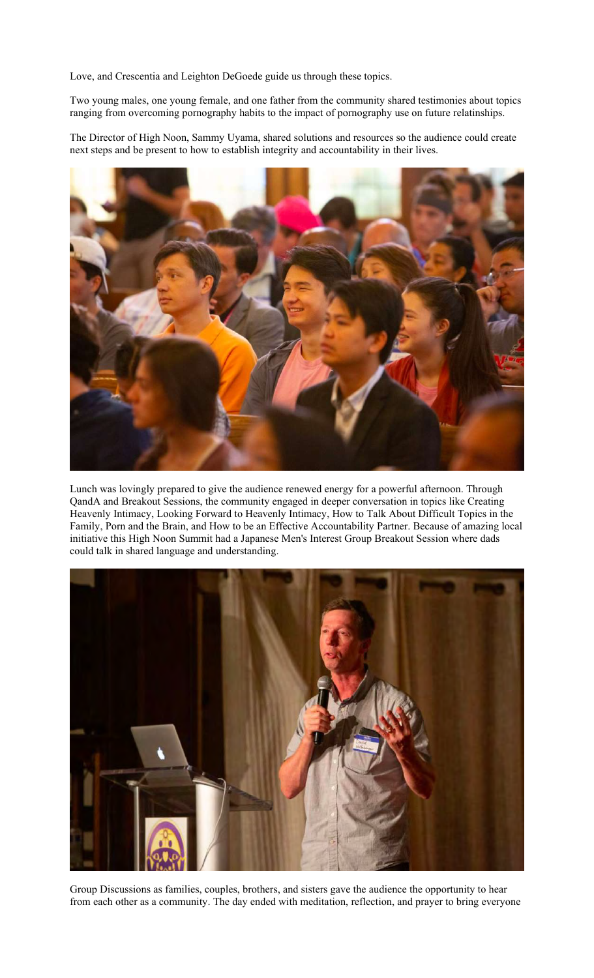Love, and Crescentia and Leighton DeGoede guide us through these topics.

Two young males, one young female, and one father from the community shared testimonies about topics ranging from overcoming pornography habits to the impact of pornography use on future relatinships.

The Director of High Noon, Sammy Uyama, shared solutions and resources so the audience could create next steps and be present to how to establish integrity and accountability in their lives.



Lunch was lovingly prepared to give the audience renewed energy for a powerful afternoon. Through QandA and Breakout Sessions, the community engaged in deeper conversation in topics like Creating Heavenly Intimacy, Looking Forward to Heavenly Intimacy, How to Talk About Difficult Topics in the Family, Porn and the Brain, and How to be an Effective Accountability Partner. Because of amazing local initiative this High Noon Summit had a Japanese Men's Interest Group Breakout Session where dads could talk in shared language and understanding.



Group Discussions as families, couples, brothers, and sisters gave the audience the opportunity to hear from each other as a community. The day ended with meditation, reflection, and prayer to bring everyone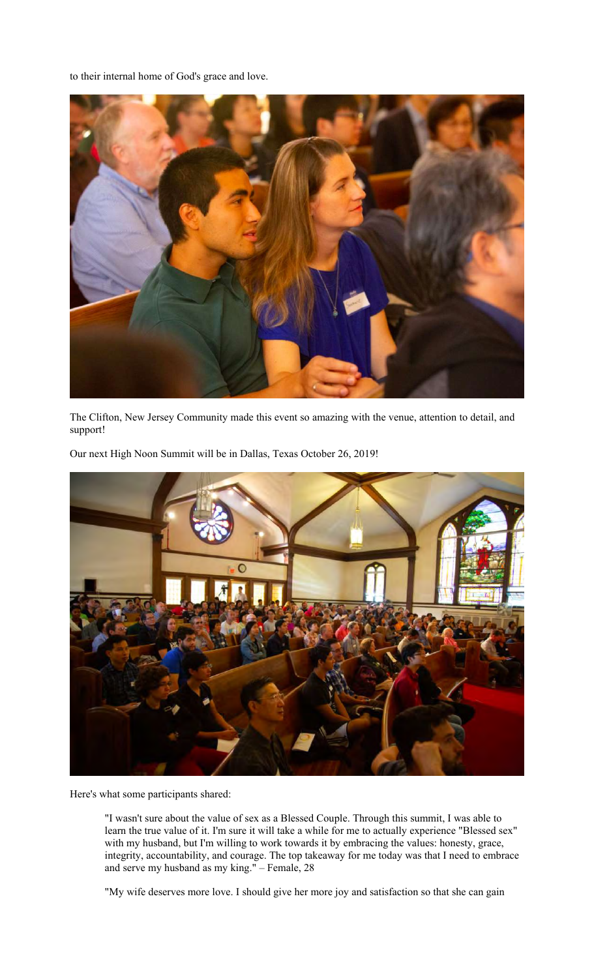to their internal home of God's grace and love.



The Clifton, New Jersey Community made this event so amazing with the venue, attention to detail, and support!

Our next High Noon Summit will be in Dallas, Texas October 26, 2019!



Here's what some participants shared:

"I wasn't sure about the value of sex as a Blessed Couple. Through this summit, I was able to learn the true value of it. I'm sure it will take a while for me to actually experience "Blessed sex" with my husband, but I'm willing to work towards it by embracing the values: honesty, grace, integrity, accountability, and courage. The top takeaway for me today was that I need to embrace and serve my husband as my king." – Female, 28

"My wife deserves more love. I should give her more joy and satisfaction so that she can gain